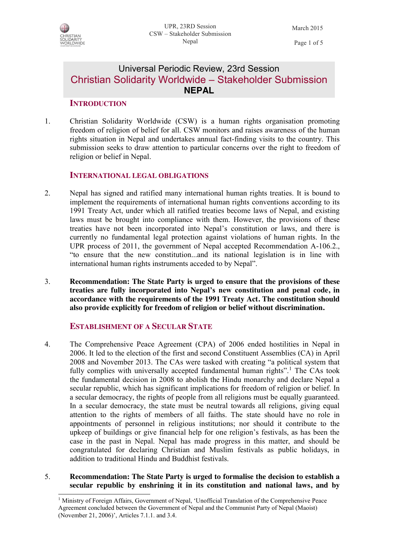

 $\overline{a}$ 

# Universal Periodic Review, 23rd Session Christian Solidarity Worldwide – Stakeholder Submission **NEPAL**

## **INTRODUCTION**

1. Christian Solidarity Worldwide (CSW) is a human rights organisation promoting freedom of religion of belief for all. CSW monitors and raises awareness of the human rights situation in Nepal and undertakes annual fact-finding visits to the country. This submission seeks to draw attention to particular concerns over the right to freedom of religion or belief in Nepal.

# **INTERNATIONAL LEGAL OBLIGATIONS**

- 2. Nepal has signed and ratified many international human rights treaties. It is bound to implement the requirements of international human rights conventions according to its 1991 Treaty Act, under which all ratified treaties become laws of Nepal, and existing laws must be brought into compliance with them. However, the provisions of these treaties have not been incorporated into Nepal's constitution or laws, and there is currently no fundamental legal protection against violations of human rights. In the UPR process of 2011, the government of Nepal accepted Recommendation A-106.2., "to ensure that the new constitution...and its national legislation is in line with international human rights instruments acceded to by Nepal".
- 3. **Recommendation: The State Party is urged to ensure that the provisions of these treaties are fully incorporated into Nepal's new constitution and penal code, in accordance with the requirements of the 1991 Treaty Act. The constitution should also provide explicitly for freedom of religion or belief without discrimination.**

# **ESTABLISHMENT OF A SECULAR STATE**

- 4. The Comprehensive Peace Agreement (CPA) of 2006 ended hostilities in Nepal in 2006. It led to the election of the first and second Constituent Assemblies (CA) in April 2008 and November 2013. The CAs were tasked with creating "a political system that fully complies with universally accepted fundamental human rights".<sup>1</sup> The CAs took the fundamental decision in 2008 to abolish the Hindu monarchy and declare Nepal a secular republic, which has significant implications for freedom of religion or belief. In a secular democracy, the rights of people from all religions must be equally guaranteed. In a secular democracy, the state must be neutral towards all religions, giving equal attention to the rights of members of all faiths. The state should have no role in appointments of personnel in religious institutions; nor should it contribute to the upkeep of buildings or give financial help for one religion's festivals, as has been the case in the past in Nepal. Nepal has made progress in this matter, and should be congratulated for declaring Christian and Muslim festivals as public holidays, in addition to traditional Hindu and Buddhist festivals.
- 5. **Recommendation: The State Party is urged to formalise the decision to establish a secular republic by enshrining it in its constitution and national laws, and by**

<sup>1</sup> Ministry of Foreign Affairs, Government of Nepal, 'Unofficial Translation of the Comprehensive Peace Agreement concluded between the Government of Nepal and the Communist Party of Nepal (Maoist) (November 21, 2006)', Articles 7.1.1. and 3.4.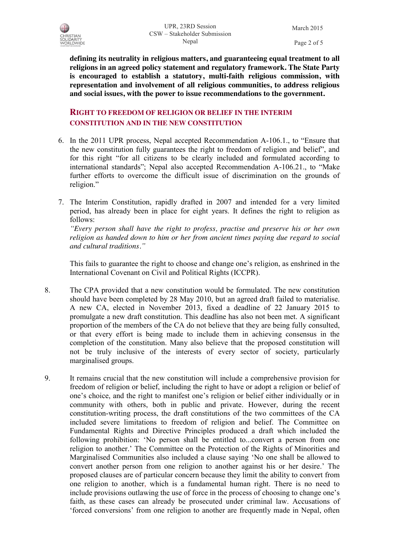

March 2015 Page 2 of 5

**defining its neutrality in religious matters, and guaranteeing equal treatment to all religions in an agreed policy statement and regulatory framework. The State Party is encouraged to establish a statutory, multi-faith religious commission, with representation and involvement of all religious communities, to address religious and social issues, with the power to issue recommendations to the government.**

# **RIGHT TO FREEDOM OF RELIGION OR BELIEF IN THE INTERIM CONSTITUTION AND IN THE NEW CONSTITUTION**

- 6. In the 2011 UPR process, Nepal accepted Recommendation A-106.1., to "Ensure that the new constitution fully guarantees the right to freedom of religion and belief", and for this right "for all citizens to be clearly included and formulated according to international standards"; Nepal also accepted Recommendation A-106.21., to "Make further efforts to overcome the difficult issue of discrimination on the grounds of religion."
- 7. The Interim Constitution, rapidly drafted in 2007 and intended for a very limited period, has already been in place for eight years. It defines the right to religion as follows:

*"Every person shall have the right to profess, practise and preserve his or her own religion as handed down to him or her from ancient times paying due regard to social and cultural traditions."*

This fails to guarantee the right to choose and change one's religion, as enshrined in the International Covenant on Civil and Political Rights (ICCPR).

- 8. The CPA provided that a new constitution would be formulated. The new constitution should have been completed by 28 May 2010, but an agreed draft failed to materialise. A new CA, elected in November 2013, fixed a deadline of 22 January 2015 to promulgate a new draft constitution. This deadline has also not been met. A significant proportion of the members of the CA do not believe that they are being fully consulted, or that every effort is being made to include them in achieving consensus in the completion of the constitution. Many also believe that the proposed constitution will not be truly inclusive of the interests of every sector of society, particularly marginalised groups.
- 9. It remains crucial that the new constitution will include a comprehensive provision for freedom of religion or belief, including the right to have or adopt a religion or belief of one's choice, and the right to manifest one's religion or belief either individually or in community with others, both in public and private. However, during the recent constitution-writing process, the draft constitutions of the two committees of the CA included severe limitations to freedom of religion and belief. The Committee on Fundamental Rights and Directive Principles produced a draft which included the following prohibition: 'No person shall be entitled to...convert a person from one religion to another.' The Committee on the Protection of the Rights of Minorities and Marginalised Communities also included a clause saying 'No one shall be allowed to convert another person from one religion to another against his or her desire.' The proposed clauses are of particular concern because they limit the ability to convert from one religion to another, which is a fundamental human right. There is no need to include provisions outlawing the use of force in the process of choosing to change one's faith, as these cases can already be prosecuted under criminal law. Accusations of 'forced conversions' from one religion to another are frequently made in Nepal, often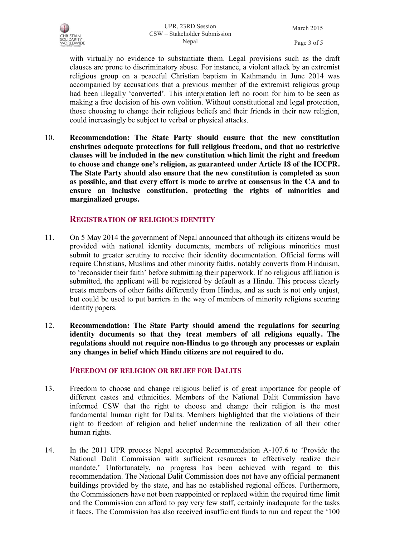UPR, 23RD Session CSW – Stakeholder Submission Nepal

March 2015 Page 3 of 5

with virtually no evidence to substantiate them. Legal provisions such as the draft clauses are prone to discriminatory abuse. For instance, a violent attack by an extremist religious group on a peaceful Christian baptism in Kathmandu in June 2014 was accompanied by accusations that a previous member of the extremist religious group had been illegally 'converted'. This interpretation left no room for him to be seen as making a free decision of his own volition. Without constitutional and legal protection, those choosing to change their religious beliefs and their friends in their new religion, could increasingly be subject to verbal or physical attacks.

10. **Recommendation: The State Party should ensure that the new constitution enshrines adequate protections for full religious freedom, and that no restrictive clauses will be included in the new constitution which limit the right and freedom to choose and change one's religion, as guaranteed under Article 18 of the ICCPR. The State Party should also ensure that the new constitution is completed as soon as possible, and that every effort is made to arrive at consensus in the CA and to ensure an inclusive constitution, protecting the rights of minorities and marginalized groups.**

## **REGISTRATION OF RELIGIOUS IDENTITY**

- 11. On 5 May 2014 the government of Nepal announced that although its citizens would be provided with national identity documents, members of religious minorities must submit to greater scrutiny to receive their identity documentation. Official forms will require Christians, Muslims and other minority faiths, notably converts from Hinduism, to 'reconsider their faith' before submitting their paperwork. If no religious affiliation is submitted, the applicant will be registered by default as a Hindu. This process clearly treats members of other faiths differently from Hindus, and as such is not only unjust, but could be used to put barriers in the way of members of minority religions securing identity papers.
- 12. **Recommendation: The State Party should amend the regulations for securing identity documents so that they treat members of all religions equally. The regulations should not require non-Hindus to go through any processes or explain any changes in belief which Hindu citizens are not required to do.**

### **FREEDOM OF RELIGION OR BELIEF FOR DALITS**

- 13. Freedom to choose and change religious belief is of great importance for people of different castes and ethnicities. Members of the National Dalit Commission have informed CSW that the right to choose and change their religion is the most fundamental human right for Dalits. Members highlighted that the violations of their right to freedom of religion and belief undermine the realization of all their other human rights.
- 14. In the 2011 UPR process Nepal accepted Recommendation A-107.6 to 'Provide the National Dalit Commission with sufficient resources to effectively realize their mandate.' Unfortunately, no progress has been achieved with regard to this recommendation. The National Dalit Commission does not have any official permanent buildings provided by the state, and has no established regional offices. Furthermore, the Commissioners have not been reappointed or replaced within the required time limit and the Commission can afford to pay very few staff, certainly inadequate for the tasks it faces. The Commission has also received insufficient funds to run and repeat the '100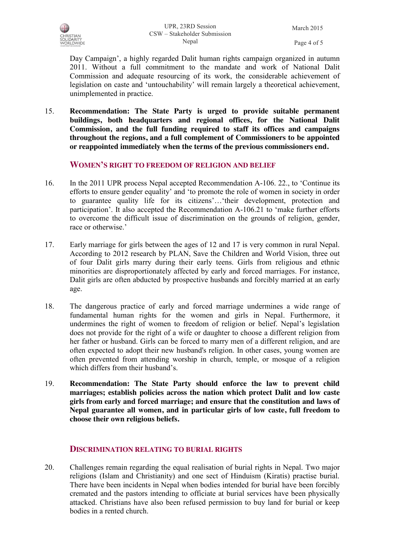

Day Campaign', a highly regarded Dalit human rights campaign organized in autumn 2011. Without a full commitment to the mandate and work of National Dalit Commission and adequate resourcing of its work, the considerable achievement of legislation on caste and 'untouchability' will remain largely a theoretical achievement, unimplemented in practice.

15. **Recommendation: The State Party is urged to provide suitable permanent buildings, both headquarters and regional offices, for the National Dalit Commission, and the full funding required to staff its offices and campaigns throughout the regions, and a full complement of Commissioners to be appointed or reappointed immediately when the terms of the previous commissioners end.**

#### **WOMEN'S RIGHT TO FREEDOM OF RELIGION AND BELIEF**

- 16. In the 2011 UPR process Nepal accepted Recommendation A-106. 22., to 'Continue its efforts to ensure gender equality' and 'to promote the role of women in society in order to guarantee quality life for its citizens'…'their development, protection and participation'. It also accepted the Recommendation A-106.21 to 'make further efforts to overcome the difficult issue of discrimination on the grounds of religion, gender, race or otherwise.'
- 17. Early marriage for girls between the ages of 12 and 17 is very common in rural Nepal. According to 2012 research by PLAN, Save the Children and World Vision, three out of four Dalit girls marry during their early teens. Girls from religious and ethnic minorities are disproportionately affected by early and forced marriages. For instance, Dalit girls are often abducted by prospective husbands and forcibly married at an early age.
- 18. The dangerous practice of early and forced marriage undermines a wide range of fundamental human rights for the women and girls in Nepal. Furthermore, it undermines the right of women to freedom of religion or belief. Nepal's legislation does not provide for the right of a wife or daughter to choose a different religion from her father or husband. Girls can be forced to marry men of a different religion, and are often expected to adopt their new husband's religion. In other cases, young women are often prevented from attending worship in church, temple, or mosque of a religion which differs from their husband's.
- 19. **Recommendation: The State Party should enforce the law to prevent child marriages; establish policies across the nation which protect Dalit and low caste girls from early and forced marriage; and ensure that the constitution and laws of Nepal guarantee all women, and in particular girls of low caste, full freedom to choose their own religious beliefs.**

### **DISCRIMINATION RELATING TO BURIAL RIGHTS**

20. Challenges remain regarding the equal realisation of burial rights in Nepal. Two major religions (Islam and Christianity) and one sect of Hinduism (Kiratis) practise burial. There have been incidents in Nepal when bodies intended for burial have been forcibly cremated and the pastors intending to officiate at burial services have been physically attacked. Christians have also been refused permission to buy land for burial or keep bodies in a rented church.